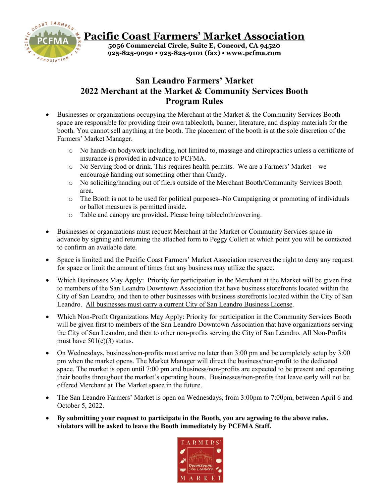

## **San Leandro Farmers' Market 2022 Merchant at the Market & Community Services Booth Program Rules**

- Businesses or organizations occupying the Merchant at the Market  $\&$  the Community Services Booth space are responsible for providing their own tablecloth, banner, literature, and display materials for the booth. You cannot sell anything at the booth. The placement of the booth is at the sole discretion of the Farmers' Market Manager.
	- o No hands-on bodywork including, not limited to, massage and chiropractics unless a certificate of insurance is provided in advance to PCFMA.
	- $\circ$  No Serving food or drink. This requires health permits. We are a Farmers' Market we encourage handing out something other than Candy.
	- o No soliciting/handing out of fliers outside of the Merchant Booth/Community Services Booth area.
	- o The Booth is not to be used for political purposes--No Campaigning or promoting of individuals or ballot measures is permitted inside**.**
	- o Table and canopy are provided. Please bring tablecloth/covering.
- Businesses or organizations must request Merchant at the Market or Community Services space in advance by signing and returning the attached form to Peggy Collett at which point you will be contacted to confirm an available date.
- Space is limited and the Pacific Coast Farmers' Market Association reserves the right to deny any request for space or limit the amount of times that any business may utilize the space.
- Which Businesses May Apply: Priority for participation in the Merchant at the Market will be given first to members of the San Leandro Downtown Association that have business storefronts located within the City of San Leandro, and then to other businesses with business storefronts located within the City of San Leandro. All businesses must carry a current City of San Leandro Business License.
- Which Non-Profit Organizations May Apply: Priority for participation in the Community Services Booth will be given first to members of the San Leandro Downtown Association that have organizations serving the City of San Leandro, and then to other non-profits serving the City of San Leandro. All Non-Profits must have  $501(c)(3)$  status.
- On Wednesdays, business/non-profits must arrive no later than 3:00 pm and be completely setup by 3:00 pm when the market opens. The Market Manager will direct the business/non-profit to the dedicated space. The market is open until 7:00 pm and business/non-profits are expected to be present and operating their booths throughout the market's operating hours. Businesses/non-profits that leave early will not be offered Merchant at The Market space in the future.
- The San Leandro Farmers' Market is open on Wednesdays, from 3:00pm to 7:00pm, between April 6 and October 5, 2022.
- **By submitting your request to participate in the Booth, you are agreeing to the above rules, violators will be asked to leave the Booth immediately by PCFMA Staff.**